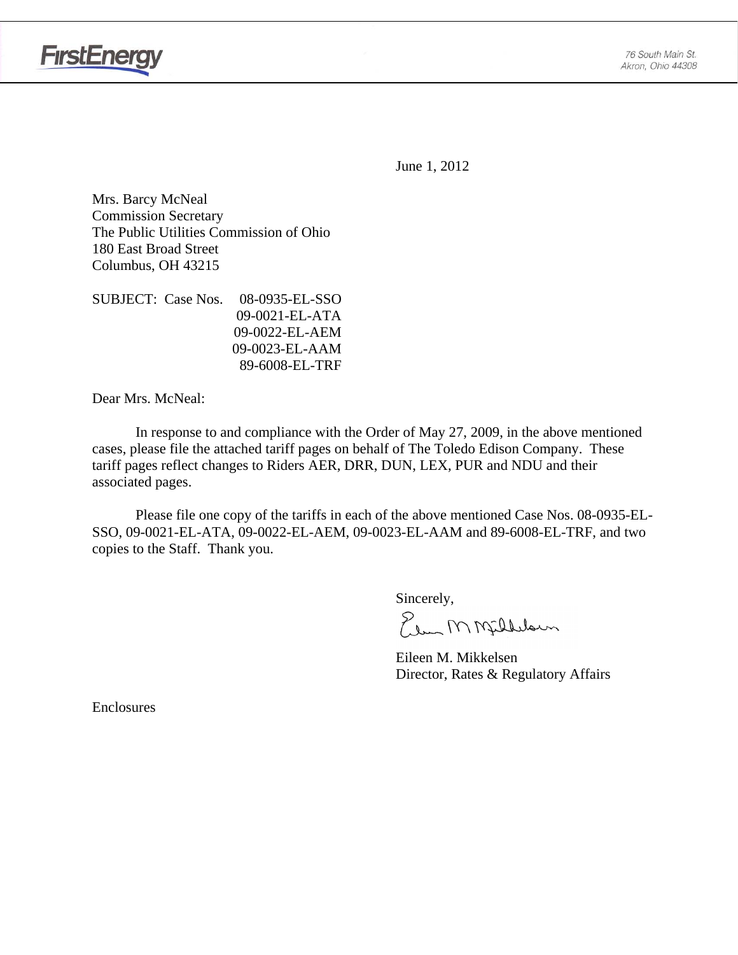

June 1, 2012

Mrs. Barcy McNeal Commission Secretary The Public Utilities Commission of Ohio 180 East Broad Street Columbus, OH 43215

SUBJECT: Case Nos. 08-0935-EL-SSO 09-0021-EL-ATA 09-0022-EL-AEM 09-0023-EL-AAM 89-6008-EL-TRF

Dear Mrs. McNeal:

 In response to and compliance with the Order of May 27, 2009, in the above mentioned cases, please file the attached tariff pages on behalf of The Toledo Edison Company. These tariff pages reflect changes to Riders AER, DRR, DUN, LEX, PUR and NDU and their associated pages.

Please file one copy of the tariffs in each of the above mentioned Case Nos. 08-0935-EL-SSO, 09-0021-EL-ATA, 09-0022-EL-AEM, 09-0023-EL-AAM and 89-6008-EL-TRF, and two copies to the Staff. Thank you.

Sincerely,

Plus MMfillelown

 Eileen M. Mikkelsen Director, Rates & Regulatory Affairs

**Enclosures**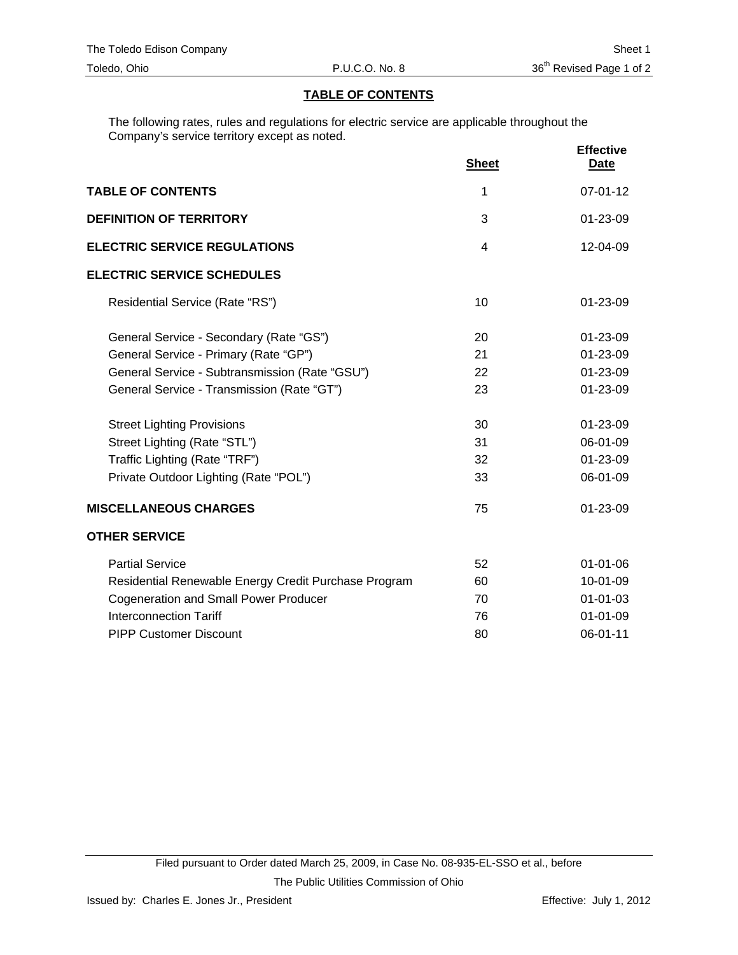## **TABLE OF CONTENTS**

The following rates, rules and regulations for electric service are applicable throughout the Company's service territory except as noted.

|                                                      | <b>Sheet</b>   | <b>Effective</b><br><b>Date</b> |
|------------------------------------------------------|----------------|---------------------------------|
| <b>TABLE OF CONTENTS</b>                             | 1              | $07 - 01 - 12$                  |
| <b>DEFINITION OF TERRITORY</b>                       | 3              | 01-23-09                        |
| <b>ELECTRIC SERVICE REGULATIONS</b>                  | $\overline{4}$ | $12 - 04 - 09$                  |
| <b>ELECTRIC SERVICE SCHEDULES</b>                    |                |                                 |
| Residential Service (Rate "RS")                      | 10             | $01 - 23 - 09$                  |
| General Service - Secondary (Rate "GS")              | 20             | 01-23-09                        |
| General Service - Primary (Rate "GP")                | 21             | $01 - 23 - 09$                  |
| General Service - Subtransmission (Rate "GSU")       | 22             | 01-23-09                        |
| General Service - Transmission (Rate "GT")           | 23             | $01 - 23 - 09$                  |
| <b>Street Lighting Provisions</b>                    | 30             | $01 - 23 - 09$                  |
| Street Lighting (Rate "STL")                         | 31             | 06-01-09                        |
| Traffic Lighting (Rate "TRF")                        | 32             | 01-23-09                        |
| Private Outdoor Lighting (Rate "POL")                | 33             | 06-01-09                        |
| <b>MISCELLANEOUS CHARGES</b>                         | 75             | 01-23-09                        |
| <b>OTHER SERVICE</b>                                 |                |                                 |
| <b>Partial Service</b>                               | 52             | $01 - 01 - 06$                  |
| Residential Renewable Energy Credit Purchase Program | 60             | 10-01-09                        |
| <b>Cogeneration and Small Power Producer</b>         | 70             | $01 - 01 - 03$                  |
| <b>Interconnection Tariff</b>                        | 76             | $01 - 01 - 09$                  |
| <b>PIPP Customer Discount</b>                        | 80             | 06-01-11                        |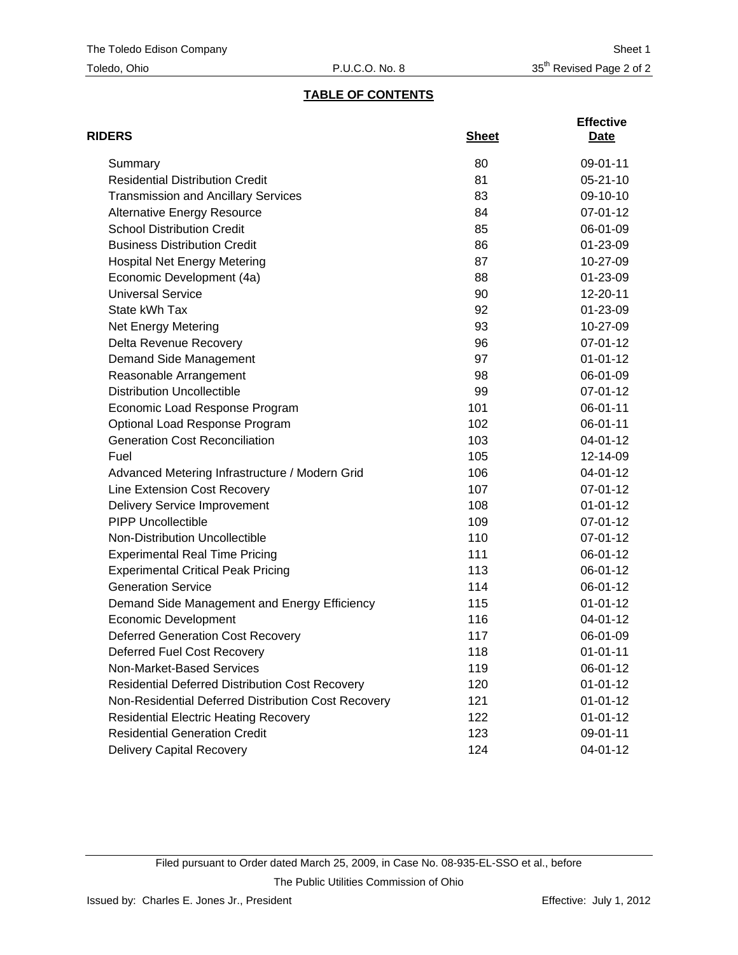# **TABLE OF CONTENTS**

| <b>RIDERS</b>                                          | <b>Sheet</b> | <b>Effective</b><br>Date |
|--------------------------------------------------------|--------------|--------------------------|
| Summary                                                | 80           | 09-01-11                 |
| <b>Residential Distribution Credit</b>                 | 81           | $05 - 21 - 10$           |
| <b>Transmission and Ancillary Services</b>             | 83           | 09-10-10                 |
| <b>Alternative Energy Resource</b>                     | 84           | 07-01-12                 |
| <b>School Distribution Credit</b>                      | 85           | 06-01-09                 |
| <b>Business Distribution Credit</b>                    | 86           | 01-23-09                 |
| <b>Hospital Net Energy Metering</b>                    | 87           | 10-27-09                 |
| Economic Development (4a)                              | 88           | 01-23-09                 |
| <b>Universal Service</b>                               | 90           | 12-20-11                 |
| State kWh Tax                                          | 92           | 01-23-09                 |
| <b>Net Energy Metering</b>                             | 93           | 10-27-09                 |
| Delta Revenue Recovery                                 | 96           | 07-01-12                 |
| Demand Side Management                                 | 97           | $01 - 01 - 12$           |
| Reasonable Arrangement                                 | 98           | 06-01-09                 |
| <b>Distribution Uncollectible</b>                      | 99           | 07-01-12                 |
| Economic Load Response Program                         | 101          | 06-01-11                 |
| Optional Load Response Program                         | 102          | 06-01-11                 |
| <b>Generation Cost Reconciliation</b>                  | 103          | 04-01-12                 |
| Fuel                                                   | 105          | 12-14-09                 |
| Advanced Metering Infrastructure / Modern Grid         | 106          | 04-01-12                 |
| Line Extension Cost Recovery                           | 107          | 07-01-12                 |
| <b>Delivery Service Improvement</b>                    | 108          | $01 - 01 - 12$           |
| <b>PIPP Uncollectible</b>                              | 109          | 07-01-12                 |
| Non-Distribution Uncollectible                         | 110          | 07-01-12                 |
| <b>Experimental Real Time Pricing</b>                  | 111          | 06-01-12                 |
| <b>Experimental Critical Peak Pricing</b>              | 113          | 06-01-12                 |
| <b>Generation Service</b>                              | 114          | 06-01-12                 |
| Demand Side Management and Energy Efficiency           | 115          | $01 - 01 - 12$           |
| <b>Economic Development</b>                            | 116          | 04-01-12                 |
| <b>Deferred Generation Cost Recovery</b>               | 117          | 06-01-09                 |
| Deferred Fuel Cost Recovery                            | 118          | $01 - 01 - 11$           |
| Non-Market-Based Services                              | 119          | 06-01-12                 |
| <b>Residential Deferred Distribution Cost Recovery</b> | 120          | $01 - 01 - 12$           |
| Non-Residential Deferred Distribution Cost Recovery    | 121          | $01 - 01 - 12$           |
| <b>Residential Electric Heating Recovery</b>           | 122          | $01 - 01 - 12$           |
| <b>Residential Generation Credit</b>                   | 123          | 09-01-11                 |
| <b>Delivery Capital Recovery</b>                       | 124          | 04-01-12                 |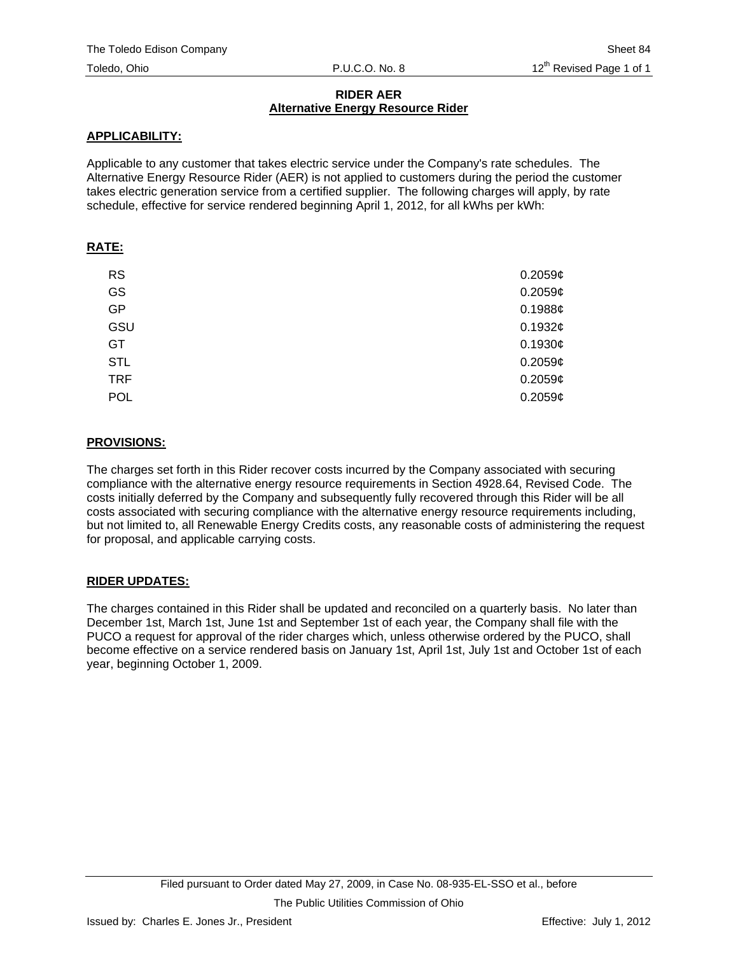## **RIDER AER Alternative Energy Resource Rider**

# **APPLICABILITY:**

Applicable to any customer that takes electric service under the Company's rate schedules. The Alternative Energy Resource Rider (AER) is not applied to customers during the period the customer takes electric generation service from a certified supplier. The following charges will apply, by rate schedule, effective for service rendered beginning April 1, 2012, for all kWhs per kWh:

## **RATE:**

| <b>RS</b>  | $0.2059$ ¢ |
|------------|------------|
| GS         | $0.2059$ ¢ |
| <b>GP</b>  | 0.1988c    |
| GSU        | 0.1932¢    |
| GT         | 0.1930¢    |
| <b>STL</b> | 0.2059c    |
| <b>TRF</b> | $0.2059$ ¢ |
| POL        | 0.2059c    |

## **PROVISIONS:**

The charges set forth in this Rider recover costs incurred by the Company associated with securing compliance with the alternative energy resource requirements in Section 4928.64, Revised Code. The costs initially deferred by the Company and subsequently fully recovered through this Rider will be all costs associated with securing compliance with the alternative energy resource requirements including, but not limited to, all Renewable Energy Credits costs, any reasonable costs of administering the request for proposal, and applicable carrying costs.

# **RIDER UPDATES:**

The charges contained in this Rider shall be updated and reconciled on a quarterly basis. No later than December 1st, March 1st, June 1st and September 1st of each year, the Company shall file with the PUCO a request for approval of the rider charges which, unless otherwise ordered by the PUCO, shall become effective on a service rendered basis on January 1st, April 1st, July 1st and October 1st of each year, beginning October 1, 2009.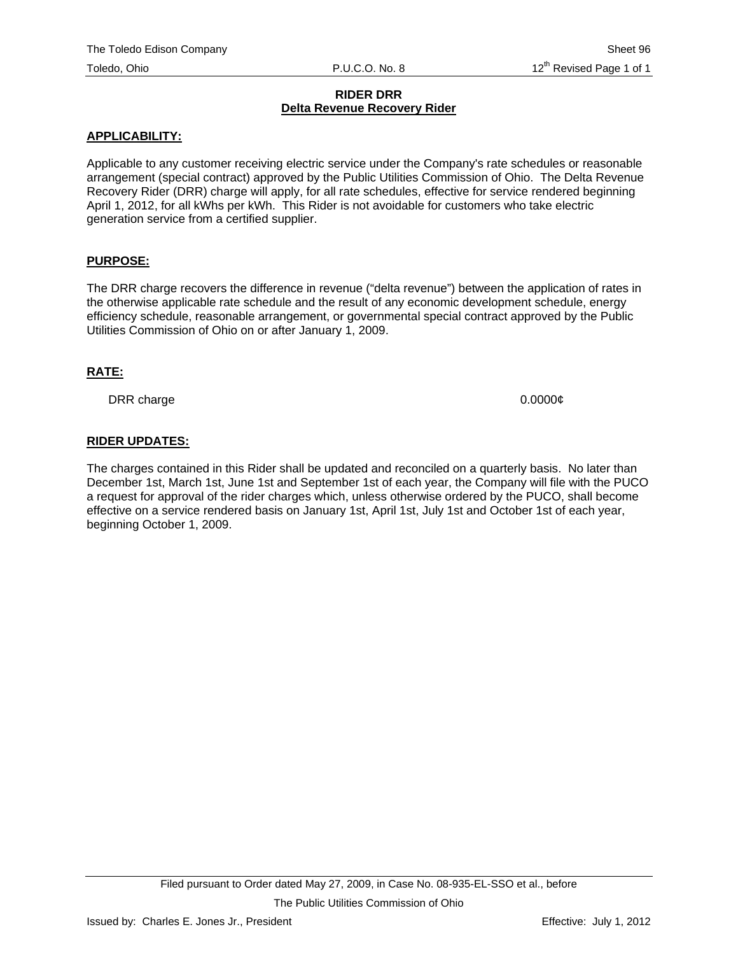#### **RIDER DRR Delta Revenue Recovery Rider**

#### **APPLICABILITY:**

Applicable to any customer receiving electric service under the Company's rate schedules or reasonable arrangement (special contract) approved by the Public Utilities Commission of Ohio. The Delta Revenue Recovery Rider (DRR) charge will apply, for all rate schedules, effective for service rendered beginning April 1, 2012, for all kWhs per kWh. This Rider is not avoidable for customers who take electric generation service from a certified supplier.

## **PURPOSE:**

The DRR charge recovers the difference in revenue ("delta revenue") between the application of rates in the otherwise applicable rate schedule and the result of any economic development schedule, energy efficiency schedule, reasonable arrangement, or governmental special contract approved by the Public Utilities Commission of Ohio on or after January 1, 2009.

#### **RATE:**

DRR charge 0.0000¢

## **RIDER UPDATES:**

The charges contained in this Rider shall be updated and reconciled on a quarterly basis. No later than December 1st, March 1st, June 1st and September 1st of each year, the Company will file with the PUCO a request for approval of the rider charges which, unless otherwise ordered by the PUCO, shall become effective on a service rendered basis on January 1st, April 1st, July 1st and October 1st of each year, beginning October 1, 2009.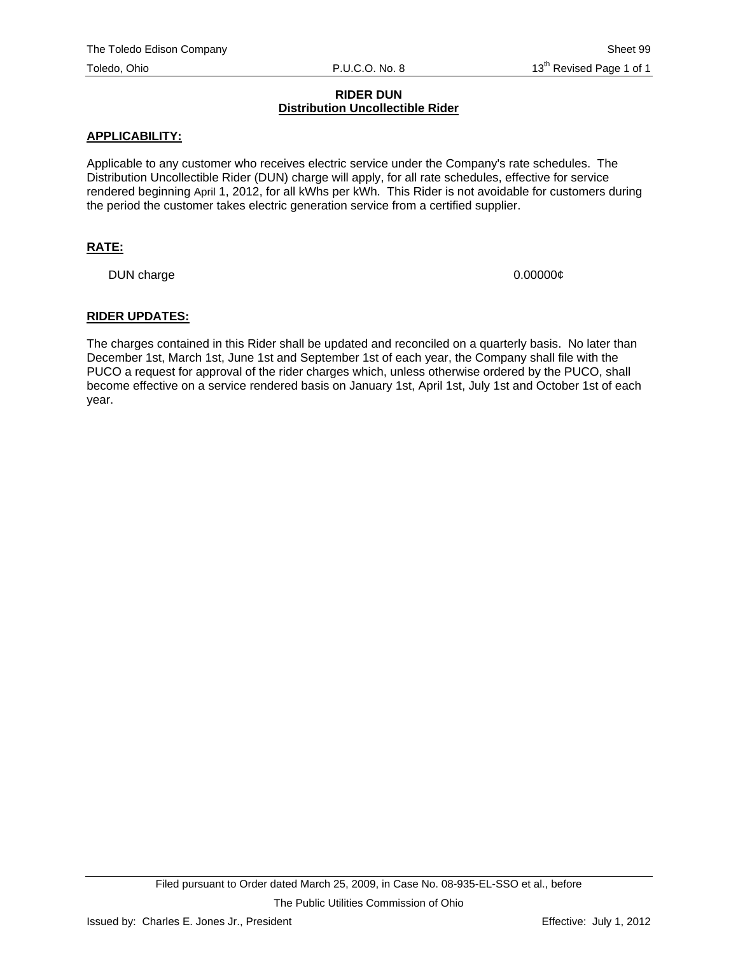#### **RIDER DUN Distribution Uncollectible Rider**

#### **APPLICABILITY:**

Applicable to any customer who receives electric service under the Company's rate schedules. The Distribution Uncollectible Rider (DUN) charge will apply, for all rate schedules, effective for service rendered beginning April 1, 2012, for all kWhs per kWh. This Rider is not avoidable for customers during the period the customer takes electric generation service from a certified supplier.

## **RATE:**

DUN charge  $0.000000\ell$ 

#### **RIDER UPDATES:**

The charges contained in this Rider shall be updated and reconciled on a quarterly basis. No later than December 1st, March 1st, June 1st and September 1st of each year, the Company shall file with the PUCO a request for approval of the rider charges which, unless otherwise ordered by the PUCO, shall become effective on a service rendered basis on January 1st, April 1st, July 1st and October 1st of each year.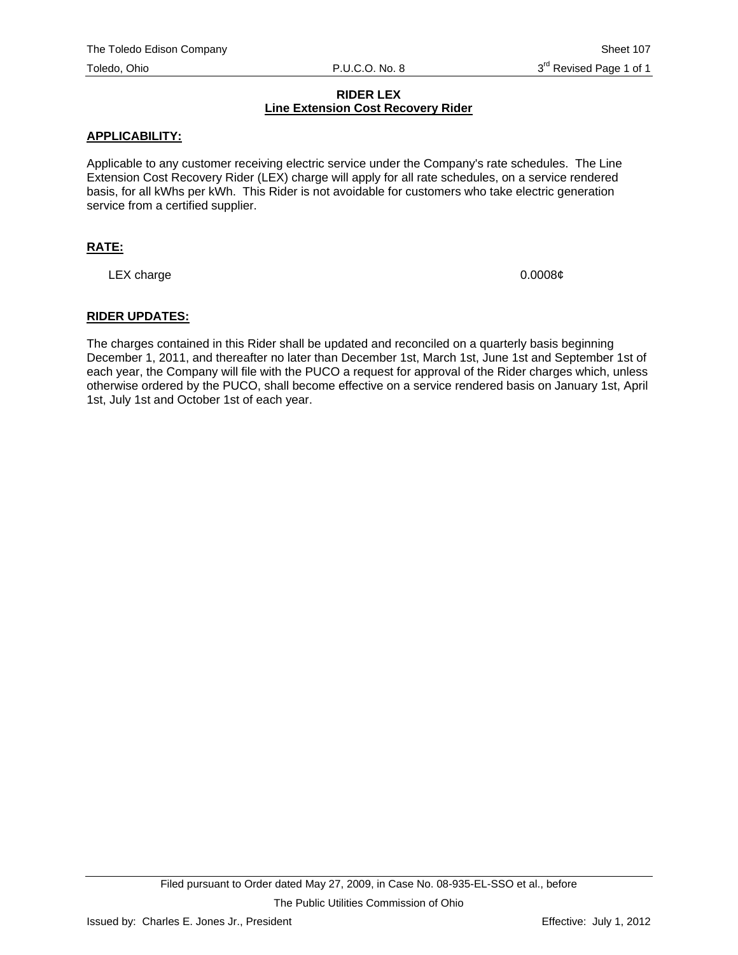## **RIDER LEX Line Extension Cost Recovery Rider**

## **APPLICABILITY:**

Applicable to any customer receiving electric service under the Company's rate schedules. The Line Extension Cost Recovery Rider (LEX) charge will apply for all rate schedules, on a service rendered basis, for all kWhs per kWh. This Rider is not avoidable for customers who take electric generation service from a certified supplier.

## **RATE:**

LEX charge  $0.0008¢$ 

## **RIDER UPDATES:**

The charges contained in this Rider shall be updated and reconciled on a quarterly basis beginning December 1, 2011, and thereafter no later than December 1st, March 1st, June 1st and September 1st of each year, the Company will file with the PUCO a request for approval of the Rider charges which, unless otherwise ordered by the PUCO, shall become effective on a service rendered basis on January 1st, April 1st, July 1st and October 1st of each year.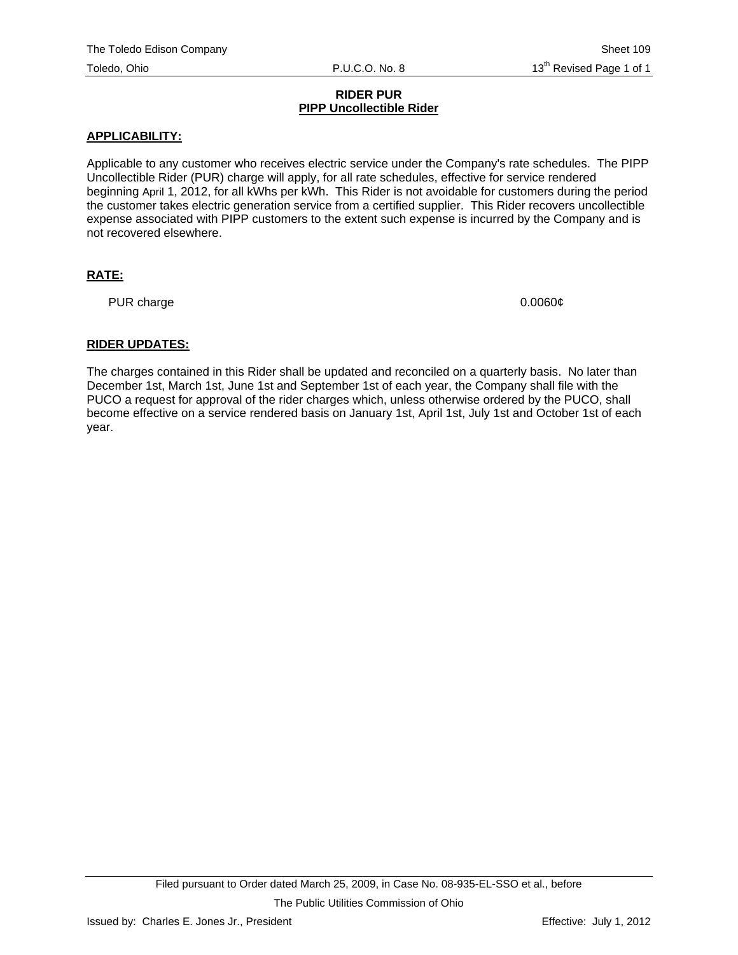#### **RIDER PUR PIPP Uncollectible Rider**

#### **APPLICABILITY:**

Applicable to any customer who receives electric service under the Company's rate schedules. The PIPP Uncollectible Rider (PUR) charge will apply, for all rate schedules, effective for service rendered beginning April 1, 2012, for all kWhs per kWh. This Rider is not avoidable for customers during the period the customer takes electric generation service from a certified supplier. This Rider recovers uncollectible expense associated with PIPP customers to the extent such expense is incurred by the Company and is not recovered elsewhere.

## **RATE:**

PUR charge 0.0060¢

## **RIDER UPDATES:**

The charges contained in this Rider shall be updated and reconciled on a quarterly basis. No later than December 1st, March 1st, June 1st and September 1st of each year, the Company shall file with the PUCO a request for approval of the rider charges which, unless otherwise ordered by the PUCO, shall become effective on a service rendered basis on January 1st, April 1st, July 1st and October 1st of each year.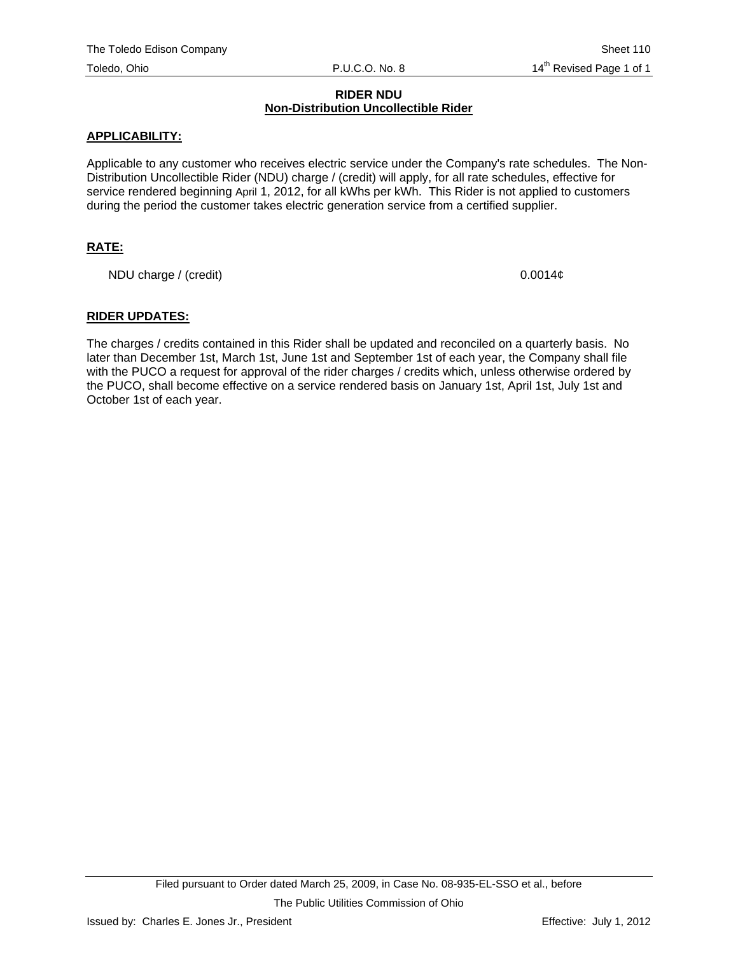#### **RIDER NDU Non-Distribution Uncollectible Rider**

## **APPLICABILITY:**

Applicable to any customer who receives electric service under the Company's rate schedules. The Non-Distribution Uncollectible Rider (NDU) charge / (credit) will apply, for all rate schedules, effective for service rendered beginning April 1, 2012, for all kWhs per kWh. This Rider is not applied to customers during the period the customer takes electric generation service from a certified supplier.

## **RATE:**

NDU charge / (credit) 0.0014¢

#### **RIDER UPDATES:**

The charges / credits contained in this Rider shall be updated and reconciled on a quarterly basis. No later than December 1st, March 1st, June 1st and September 1st of each year, the Company shall file with the PUCO a request for approval of the rider charges / credits which, unless otherwise ordered by the PUCO, shall become effective on a service rendered basis on January 1st, April 1st, July 1st and October 1st of each year.